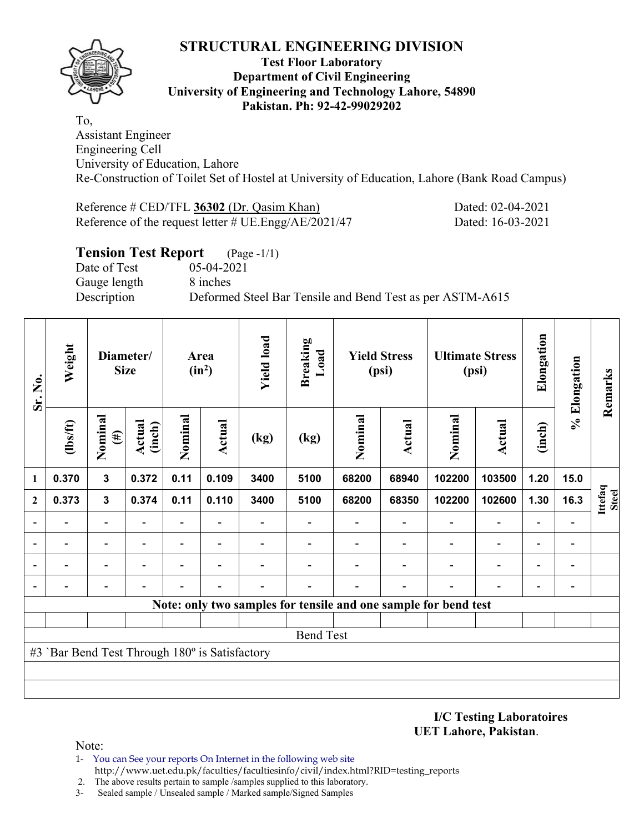# **STRUCTURAL ENGINEERING DIVISION**



### **Test Floor Laboratory Department of Civil Engineering University of Engineering and Technology Lahore, 54890 Pakistan. Ph: 92-42-99029202**

To, Assistant Engineer Engineering Cell University of Education, Lahore Re-Construction of Toilet Set of Hostel at University of Education, Lahore (Bank Road Campus)

Reference # CED/TFL **36302** (Dr. Qasim Khan) Dated: 02-04-2021 Reference of the request letter # UE.Engg/AE/2021/47 Dated: 16-03-2021

# **Tension Test Report** (Page -1/1) Date of Test 05-04-2021 Gauge length 8 inches Description Deformed Steel Bar Tensile and Bend Test as per ASTM-A615

| Sr. No.          | Weight                                         | Diameter/<br><b>Size</b> |                  | Area<br>$(in^2)$         |                          | <b>Yield load</b> | <b>Breaking</b><br>Load | <b>Yield Stress</b><br>(psi) |        | <b>Ultimate Stress</b><br>(psi)                                 |                          | Elongation     | % Elongation                 | Remarks                 |
|------------------|------------------------------------------------|--------------------------|------------------|--------------------------|--------------------------|-------------------|-------------------------|------------------------------|--------|-----------------------------------------------------------------|--------------------------|----------------|------------------------------|-------------------------|
|                  | (lbs/ft)                                       | Nominal<br>$(\#)$        | Actual<br>(inch) | Nominal                  | Actual                   | (kg)              | (kg)                    | Nominal                      | Actual | Nominal                                                         | Actual                   | (inch)         |                              |                         |
| 1                | 0.370                                          | $\mathbf{3}$             | 0.372            | 0.11                     | 0.109                    | 3400              | 5100                    | 68200                        | 68940  | 102200                                                          | 103500                   | 1.20           | 15.0                         |                         |
| $\mathbf{2}$     | 0.373                                          | $\mathbf{3}$             | 0.374            | 0.11                     | 0.110                    | 3400              | 5100                    | 68200                        | 68350  | 102200                                                          | 102600                   | 1.30           | 16.3                         | Ittefaq<br><b>Steel</b> |
| ۰                |                                                |                          |                  | $\blacksquare$           |                          |                   |                         |                              |        |                                                                 |                          | $\blacksquare$ | $\qquad \qquad \blacksquare$ |                         |
|                  |                                                |                          |                  |                          |                          |                   |                         |                              |        |                                                                 | $\blacksquare$           |                | $\overline{a}$               |                         |
|                  |                                                |                          |                  | $\overline{\phantom{0}}$ | $\overline{\phantom{0}}$ |                   |                         |                              |        |                                                                 | $\overline{\phantom{0}}$ |                | $\qquad \qquad \blacksquare$ |                         |
|                  |                                                |                          |                  |                          |                          |                   |                         |                              |        |                                                                 |                          |                | $\overline{a}$               |                         |
|                  |                                                |                          |                  |                          |                          |                   |                         |                              |        | Note: only two samples for tensile and one sample for bend test |                          |                |                              |                         |
|                  |                                                |                          |                  |                          |                          |                   |                         |                              |        |                                                                 |                          |                |                              |                         |
| <b>Bend Test</b> |                                                |                          |                  |                          |                          |                   |                         |                              |        |                                                                 |                          |                |                              |                         |
|                  | #3 'Bar Bend Test Through 180° is Satisfactory |                          |                  |                          |                          |                   |                         |                              |        |                                                                 |                          |                |                              |                         |
|                  |                                                |                          |                  |                          |                          |                   |                         |                              |        |                                                                 |                          |                |                              |                         |
|                  |                                                |                          |                  |                          |                          |                   |                         |                              |        |                                                                 |                          |                |                              |                         |

**I/C Testing Laboratoires UET Lahore, Pakistan**.

Note:

- 1- You can See your reports On Internet in the following web site http://www.uet.edu.pk/faculties/facultiesinfo/civil/index.html?RID=testing\_reports
- 2. The above results pertain to sample /samples supplied to this laboratory.
- 3- Sealed sample / Unsealed sample / Marked sample/Signed Samples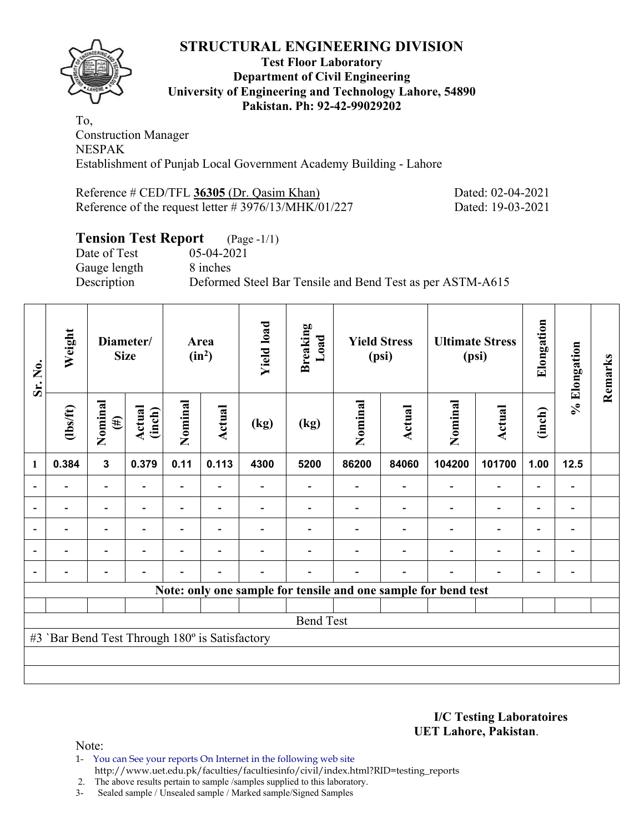### **STRUCTURAL ENGINEERING DIVISION Test Floor Laboratory Department of Civil Engineering University of Engineering and Technology Lahore, 54890 Pakistan. Ph: 92-42-99029202**

To, Construction Manager NESPAK Establishment of Punjab Local Government Academy Building - Lahore

Reference # CED/TFL **36305** (Dr. Qasim Khan) Dated: 02-04-2021 Reference of the request letter # 3976/13/MHK/01/227 Dated: 19-03-2021

# **Tension Test Report** (Page -1/1)

Date of Test 05-04-2021 Gauge length 8 inches

Description Deformed Steel Bar Tensile and Bend Test as per ASTM-A615

| Sr. No.                                        | Weight                                                         | Diameter/<br><b>Size</b> |                  | Area<br>$(in^2)$ |                          | <b>Yield load</b> | <b>Breaking</b><br>Load      | <b>Yield Stress</b><br>(psi) |                          | <b>Ultimate Stress</b><br>(psi) |                          | Elongation               | % Elongation             | Remarks |
|------------------------------------------------|----------------------------------------------------------------|--------------------------|------------------|------------------|--------------------------|-------------------|------------------------------|------------------------------|--------------------------|---------------------------------|--------------------------|--------------------------|--------------------------|---------|
|                                                | $\frac{2}{10}$                                                 | Nominal<br>$(\#)$        | Actual<br>(inch) | Nominal          | Actual                   | (kg)              | (kg)                         | Nominal                      | Actual                   | Nominal                         | <b>Actual</b>            | (inch)                   |                          |         |
| 1                                              | 0.384                                                          | $\mathbf{3}$             | 0.379            | 0.11             | 0.113                    | 4300              | 5200                         | 86200                        | 84060                    | 104200                          | 101700                   | 1.00                     | 12.5                     |         |
|                                                | $\overline{\phantom{0}}$                                       | $\overline{\phantom{a}}$ | $\blacksquare$   | -                | $\overline{\phantom{0}}$ |                   | $\qquad \qquad \blacksquare$ |                              | $\overline{\phantom{a}}$ | $\overline{\phantom{a}}$        | $\overline{\phantom{a}}$ | $\blacksquare$           | $\blacksquare$           |         |
|                                                | ۰                                                              | -                        |                  |                  | $\overline{\phantom{0}}$ |                   |                              |                              |                          | $\overline{\phantom{0}}$        | $\overline{\phantom{a}}$ | -                        | $\blacksquare$           |         |
| ۰                                              | $\blacksquare$                                                 | $\overline{\phantom{a}}$ | $\blacksquare$   |                  | $\overline{\phantom{a}}$ |                   |                              |                              |                          | $\overline{\phantom{0}}$        | $\overline{\phantom{a}}$ | $\overline{\phantom{0}}$ | $\overline{\phantom{a}}$ |         |
|                                                | $\overline{\phantom{0}}$                                       | $\overline{\phantom{a}}$ |                  | $\blacksquare$   | $\blacksquare$           |                   |                              |                              |                          | $\overline{\phantom{0}}$        | $\overline{\phantom{a}}$ | Ξ.                       | $\overline{\phantom{a}}$ |         |
|                                                | $\overline{\phantom{0}}$                                       | $\overline{\phantom{0}}$ |                  |                  | $\overline{\phantom{0}}$ | -                 |                              |                              | ۰                        | $\overline{\phantom{0}}$        | $\overline{\phantom{a}}$ | $\blacksquare$           | $\overline{\phantom{a}}$ |         |
|                                                | Note: only one sample for tensile and one sample for bend test |                          |                  |                  |                          |                   |                              |                              |                          |                                 |                          |                          |                          |         |
|                                                |                                                                |                          |                  |                  |                          |                   |                              |                              |                          |                                 |                          |                          |                          |         |
| <b>Bend Test</b>                               |                                                                |                          |                  |                  |                          |                   |                              |                              |                          |                                 |                          |                          |                          |         |
| #3 'Bar Bend Test Through 180° is Satisfactory |                                                                |                          |                  |                  |                          |                   |                              |                              |                          |                                 |                          |                          |                          |         |
|                                                |                                                                |                          |                  |                  |                          |                   |                              |                              |                          |                                 |                          |                          |                          |         |
|                                                |                                                                |                          |                  |                  |                          |                   |                              |                              |                          |                                 |                          |                          |                          |         |

**I/C Testing Laboratoires UET Lahore, Pakistan**.

Note:

1- You can See your reports On Internet in the following web site http://www.uet.edu.pk/faculties/facultiesinfo/civil/index.html?RID=testing\_reports

2. The above results pertain to sample /samples supplied to this laboratory.

3- Sealed sample / Unsealed sample / Marked sample/Signed Samples